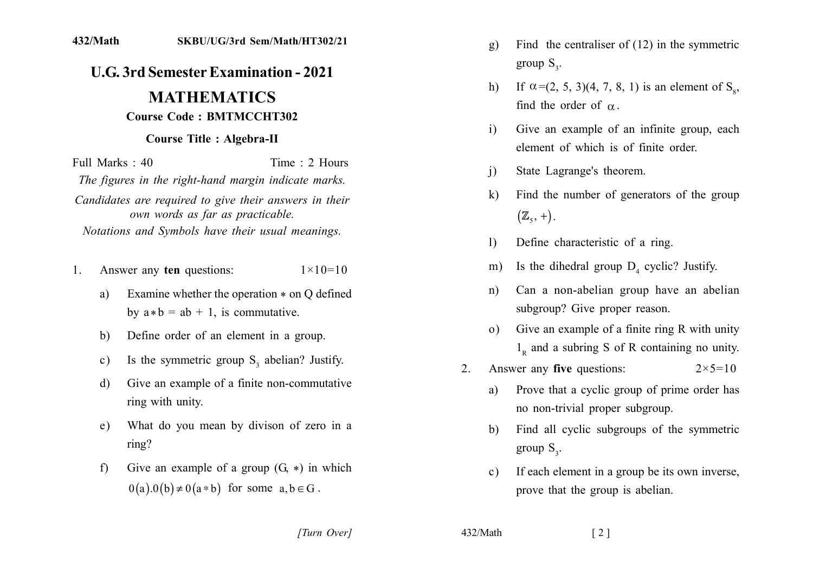## **U.G. 3rd Semester Examination - 2021**

## **MATHEMATICS Course Code: BMTMCCHT302**

## **Course Title: Algebra-II**

Full Marks  $\cdot$  40 Time  $\cdot$  2 Hours The figures in the right-hand margin indicate marks. Candidates are required to give their answers in their own words as far as practicable. Notations and Symbols have their usual meanings.

- Answer any ten questions:  $1 \times 10 = 10$  $1$ 
	- Examine whether the operation  $*$  on Q defined a) by  $a * b = ab + 1$ , is commutative.
	- Define order of an element in a group.  $b)$
	- Is the symmetric group  $S_3$  abelian? Justify.  $c)$
	- Give an example of a finite non-commutative d) ring with unity.
	- What do you mean by divison of zero in a  $e)$  $ring?$
	- Give an example of a group  $(G, *)$  in which  $f$  $0(a).0(b) \neq 0(a * b)$  for some  $a, b \in G$ .
- Find the centraliser of  $(12)$  in the symmetric  $g)$ group  $S_{\gamma}$ .
- If  $\alpha$ =(2, 5, 3)(4, 7, 8, 1) is an element of S<sub> $\alpha$ </sub>,  $h)$ find the order of  $\alpha$ .
- Give an example of an infinite group, each  $\mathbf{i}$ element of which is of finite order.
- State Lagrange's theorem.  $\mathbf{i}$
- Find the number of generators of the group  $\mathbf{k}$  $(\mathbb{Z}_{5}, +)$ .
- Define characteristic of a ring.  $\mathbf{D}$
- Is the dihedral group  $D_4$  cyclic? Justify.  $m)$
- Can a non-abelian group have an abelian  $n)$ subgroup? Give proper reason.
- Give an example of a finite ring R with unity  $\Omega$  $1<sub>p</sub>$  and a subring S of R containing no unity.
- Answer any five questions:  $2_{-}$  $2 \times 5 = 10$ 
	- Prove that a cyclic group of prime order has a) no non-trivial proper subgroup.
	- Find all cyclic subgroups of the symmetric b) group  $S_{\gamma}$ .
	- If each element in a group be its own inverse,  $c)$ prove that the group is abelian.

[Turn Over]

432/Math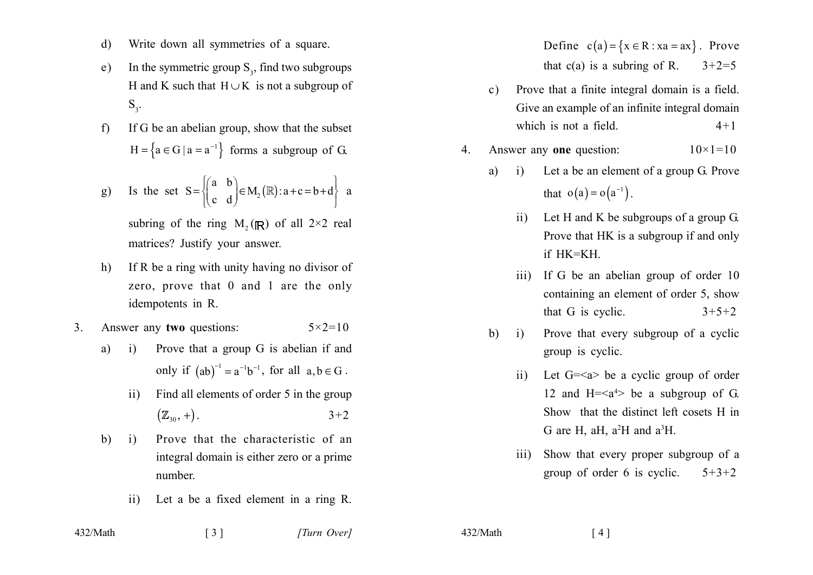- Write down all symmetries of a square. d)
- In the symmetric group  $S_3$ , find two subgroups e) H and K such that  $H \cup K$  is not a subgroup of  $S_{3}$ .
- If G be an abelian group, show that the subset  $f$  $H = \{a \in G \mid a = a^{-1}\}\$ forms a subgroup of G.

g) Is the set 
$$
S = \begin{cases} \begin{pmatrix} a & b \\ c & d \end{pmatrix} \in M_2(\mathbb{R}) : a+c=b+d \end{cases}
$$
 a

subring of the ring  $M_2(\mathbb{R})$  of all  $2\times 2$  real matrices? Justify your answer.

- If R be a ring with unity having no divisor of  $h)$ zero, prove that 0 and 1 are the only idempotents in R.
- Answer any two questions:  $3<sub>1</sub>$  $5 \times 2 = 10$ 
	- Prove that a group G is abelian if and a)  $(i)$ only if  $(ab)^{-1} = a^{-1}b^{-1}$ , for all  $a, b \in G$ .
		- Find all elements of order 5 in the group  $\rm ii)$  $(\mathbb{Z}_{30}, +)$ .  $3 + 2$
	- $b)$  $\mathbf{i}$ Prove that the characteristic of an integral domain is either zero or a prime number.

 $\begin{bmatrix} 3 \end{bmatrix}$ 

Let a be a fixed element in a ring R.  $ii)$ 

Define  $c(a) = \{x \in R : xa = ax\}$ . Prove that  $c(a)$  is a subring of R.  $3+2=5$ 

- Prove that a finite integral domain is a field.  $\mathbf{c}$ ) Give an example of an infinite integral domain which is not a field.  $4 + 1$
- Answer any one question:  $10 \times 1 = 10$  $\overline{4}$ .
	- Let a be an element of a group G. Prove a)  $\ddot{1}$ that  $o(a) = o(a^{-1})$ .
		- Let H and K be subgroups of a group  $G$ .  $\mathbf{ii}$ Prove that HK is a subgroup if and only  $if$  HK=KH
		- If G be an abelian group of order 10  $\overline{111}$ containing an element of order 5, show that G is cyclic.  $3+5+2$
	- Prove that every subgroup of a cyclic  $h)$  $\mathbf{i}$ group is cyclic.
		- Let  $G=\langle a \rangle$  be a cyclic group of order  $\overline{11}$ 12 and H= $\leq a^4$ > be a subgroup of G. Show that the distinct left cosets H in G are H, aH,  $a^2H$  and  $a^3H$ .
		- Show that every proper subgroup of a  $\overline{111}$ group of order 6 is cyclic.  $5 + 3 + 2$

432/Math